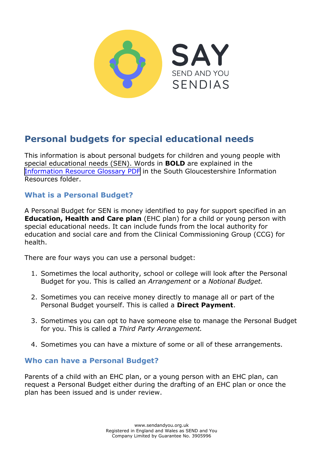

# **Personal budgets for special educational needs**

This information is about personal budgets for children and young people with special educational needs (SEN). Words in **BOLD** are explained in the [Information Resource Glossary PDF](https://www.supportiveparents.org.uk/wp-content/uploads/2020/02/Information-Resource-Glossary-REVISED2.pdf) in the South Gloucestershire Information Resources folder.

# **What is a Personal Budget?**

A Personal Budget for SEN is money identified to pay for support specified in an **Education, Health and Care plan** (EHC plan) for a child or young person with special educational needs. It can include funds from the local authority for education and social care and from the Clinical Commissioning Group (CCG) for health.

There are four ways you can use a personal budget:

- 1. Sometimes the local authority, school or college will look after the Personal Budget for you. This is called an *Arrangement* or a *Notional Budget.*
- 2. Sometimes you can receive money directly to manage all or part of the Personal Budget yourself. This is called a **Direct Payment**.
- 3. Sometimes you can opt to have someone else to manage the Personal Budget for you. This is called a *Third Party Arrangement.*
- 4. Sometimes you can have a mixture of some or all of these arrangements.

#### **Who can have a Personal Budget?**

Parents of a child with an EHC plan, or a young person with an EHC plan, can request a Personal Budget either during the drafting of an EHC plan or once the plan has been issued and is under review.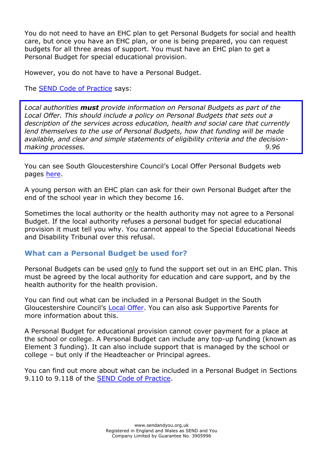You do not need to have an EHC plan to get Personal Budgets for social and health care, but once you have an EHC plan, or one is being prepared, you can request budgets for all three areas of support. You must have an EHC plan to get a Personal Budget for special educational provision.

However, you do not have to have a Personal Budget.

The **SEND Code of Practice** says:

*Local authorities must provide information on Personal Budgets as part of the Local Offer. This should include a policy on Personal Budgets that sets out a description of the services across education, health and social care that currently lend themselves to the use of Personal Budgets, how that funding will be made available, and clear and simple statements of eligibility criteria and the decisionmaking processes. 9.96*

You can see South Gloucestershire Council's Local Offer Personal Budgets web pages [here.](http://www.southglos.gov.uk/health-and-social-care/care-and-support-children-families/local-offer/local-offer-education-health-and-care-plans/personal-budgets/)

A young person with an EHC plan can ask for their own Personal Budget after the end of the school year in which they become 16.

Sometimes the local authority or the health authority may not agree to a Personal Budget. If the local authority refuses a personal budget for special educational provision it must tell you why. You cannot appeal to the Special Educational Needs and Disability Tribunal over this refusal.

## **What can a Personal Budget be used for?**

Personal Budgets can be used only to fund the support set out in an EHC plan. This must be agreed by the local authority for education and care support, and by the health authority for the health provision.

You can find out what can be included in a Personal Budget in the South Gloucestershire Council's [Local Offer.](http://www.southglos.gov.uk/health-and-social-care/local-offer/) You can also ask Supportive Parents for more information about this.

A Personal Budget for educational provision cannot cover payment for a place at the school or college. A Personal Budget can include any top-up funding (known as Element 3 funding). It can also include support that is managed by the school or college – but only if the Headteacher or Principal agrees.

You can find out more about what can be included in a Personal Budget in Sections 9.110 to 9.118 of the [SEND Code of Practice.](https://www.gov.uk/government/publications/send-code-of-practice-0-to-25)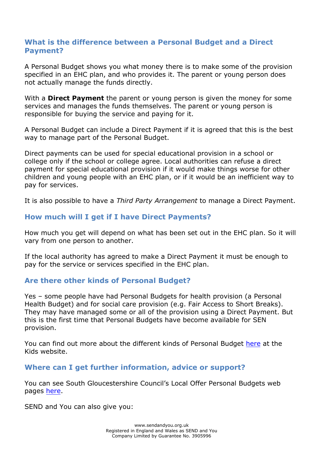## **What is the difference between a Personal Budget and a Direct Payment?**

A Personal Budget shows you what money there is to make some of the provision specified in an EHC plan, and who provides it. The parent or young person does not actually manage the funds directly.

With a **Direct Payment** the parent or young person is given the money for some services and manages the funds themselves. The parent or young person is responsible for buying the service and paying for it.

A Personal Budget can include a Direct Payment if it is agreed that this is the best way to manage part of the Personal Budget.

Direct payments can be used for special educational provision in a school or college only if the school or college agree. Local authorities can refuse a direct payment for special educational provision if it would make things worse for other children and young people with an EHC plan, or if it would be an inefficient way to pay for services.

It is also possible to have a *Third Party Arrangement* to manage a Direct Payment.

## **How much will I get if I have Direct Payments?**

How much you get will depend on what has been set out in the EHC plan. So it will vary from one person to another.

If the local authority has agreed to make a Direct Payment it must be enough to pay for the service or services specified in the EHC plan.

## **Are there other kinds of Personal Budget?**

Yes – some people have had Personal Budgets for health provision (a Personal Health Budget) and for social care provision (e.g. Fair Access to Short Breaks). They may have managed some or all of the provision using a Direct Payment. But this is the first time that Personal Budgets have become available for SEN provision.

You can find out more about the different kinds of Personal Budget [here](https://www.kids.org.uk/yp-personal-budgets) at the Kids website.

## **Where can I get further information, advice or support?**

You can see South Gloucestershire Council's Local Offer Personal Budgets web pages [here.](http://www.southglos.gov.uk/health-and-social-care/care-and-support-children-families/local-offer/local-offer-education-health-and-care-plans/personal-budgets/)

SEND and You can also give you: